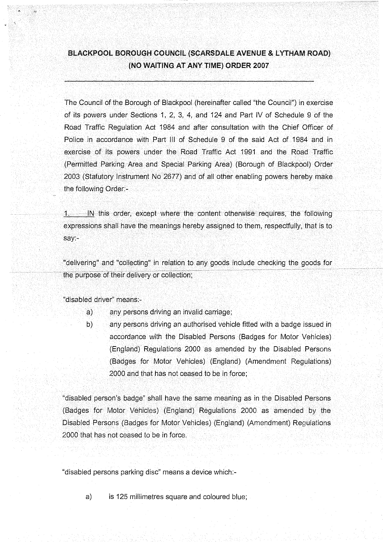## **BLACKPOOL BOROUGH COUNCIL (SGARSDALE AVENUE & LYTHAM ROAD) (NO WAITINO AT ANY TIME) ORDER 2007**

The Council of the Borough of Blackpool (hereinafter called "the Council") in exercise of its powers under Sections 1, 2, 3, 4, and 124 and Part IV of Schedule 9 of the Road Traffic Regulation Act 1984 and after consultation with the Chief Officer of Police in accordance with Part III of Schedule 9 of the said Act of 1984 and in exercise of its powers under the Road Traffic Act 1991 and the Road Traffic (Permitted Parking, Area and Special Parking Area) (Borough of Blackpool) Order 2003: (Statutory I nstrument No 2677) and of all other enabling powers hereby make the following Order:-

/1. IN this order, except where- the content otherwise\*requires, the following expressions shall have the meanings hereby assigned to them, respectfully, that is to say:-

"delivering" and "collecting" in relation to any goods include checking the goods for the purpose of their delivery or collection;

"disabled driver" means:-

- a) any persons driving an invalid carriage;
- b) any persons driving an authorised vehicle fitted with a badge issued in accordance with the Disabled Persons (Badges for Motor Vehicles) (England) Regulations 2000 as amended by the Disabled Persons (Badges for Motor Vehicles) (England) (Amendment Regulations) 2000 and that has not ceased to be in force;

"disabled person's badge" shall have the same meaning as in the Disabled Persons (Badges for Motor Vehicles) (England) Regulations 2000 as amended by the Disabled Persons (Badges for Motor Vehicles) (England) (Amendment) Regulations 2000 that has not ceased to be in force.

"disabled persons parking disc" means a device which:-

a) is 125 millimetres square and coloured blue;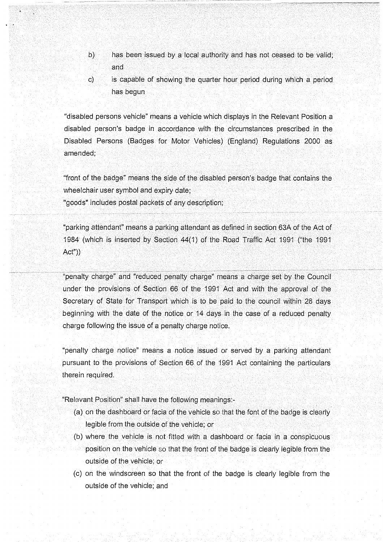- b) has been issued by a local authority and has not ceased to be valid; and -':' \ : •-':•' : .. :'.-• •-• '',.' .:;- ; -: -•.'••-.•-• :•: • ••"•-'
- c) is capable of showing the quarter hour period during which a period has begun

"disabled persons vehicle" means a vehicle which displays in the Relevant Position a disabled person's badge in accordance with the circumstances prescribed in the Disabled Persons (Badges for Motor Vehicles) (England) Regulations 2000 as amended;

"front of the badge" means the side of the disabled person's badge that contains the wheelchair user symbol and expiry date;

"goods" includes postal packets of any description;

"parking attendant' means a parking/attendant as defined in section 63A of the Act of 1984 (which is inserted by Section  $44(1)$  of the Road Traffi Act"))

"penalty charge" and "reduced penalty charge" means a charge set by the Council under the provisions of Section 66 of the 1991 Act and with the approval of the Secretary of State for Transport which is to be paid to the council within 28 days beginning with the date of the notice or 14 days in the case of a reduced penalty charge following the issue of a penalty charge notice.

"penalty charge notice" means a notice issued or served by a parking attendant pursuant to the provisions of Section 66 of the 1991 Act containing the particulars therein required.

"Relevant Position" shall have the following meanings:-

- (a) oh the dashboard or facia of the vehicle so that the font of the badge is clearly legible from the outside of the vehicle; or
- (b) where the vehicle is not fitted with a dashboard or facia in a conspicuous position on the vehicle so that the front of the badge is clearly legible from the outside of the vehicle; or
- (c) on the windscreen so that the front of the badge is clearly legible from the outside of the vehicle; and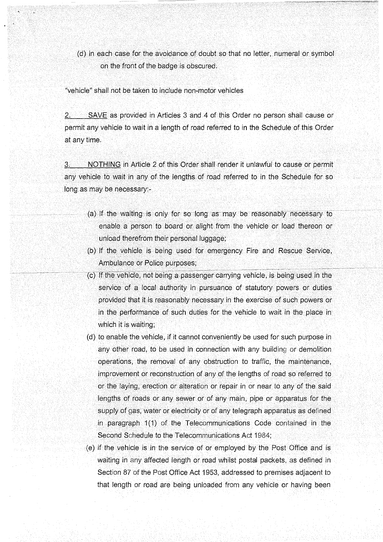(d) in each case for the avoidance of doubt so that no letter, numeral or symbol on the front of the badge is obscured.

"vehicle" shall not be taken to include non-motor vehicles

2. SAVE as provided in Articles 3 and 4 of this Order no person shall cause or permit any vehicle to wait in a length of road referred to in the Schedule of this Order at any time.

3. NOTHING in Article 2 of this Order shall render it unlawful to cause or permit any vehicle to wait in any of the lengths of road referred to in the Schedule for so long as may be necessary:-

- (a) If the waiting is only for so long as may be reasonably necessary to enable a person to board or alight from the vehicle or load thereon or : unload therefrom their personal luggage;
- (b) If the vehicle is being used for emergency Fire and Rescue Service, Ambulance or Police purposes;
- $($ c) If the vehicle, not being a passenger carrying vehicle, is being used in the service of a local authority in pursuance of statutory powers or duties provided that it is reasonably necessary in the exercise of such powers or in the performance of such duties for the vehicle to wait in the place in which it is waiting;
- (d) to enable the vehicle, if it cannot conveniently be used for such purpose in any other road, to be used in connection with any building or demolition operations, the removal of any obstruction to traffic, the maintenance, improvement or reconstruction of any of the lengths of road so referred to or the laying, erection or alteration or repair in or near to any of the said lengths of roads or any sewer or of any main, pipe or apparatus for the supply of gas, water or electricity or of any telegraph apparatus as defined in paragraph 1(1) of the Telecommunications Code contained in the Second Schedule to the Telecommunications Act 1984;
- (e) if the vehicle is in the service of or employed by the Post Office and is waiting in any affected length or road whilst postal packets, as defined in Section 87 of the Post Office Act 1953, addressed to premises adjacent to that length or road are being unloaded from any vehicle or having been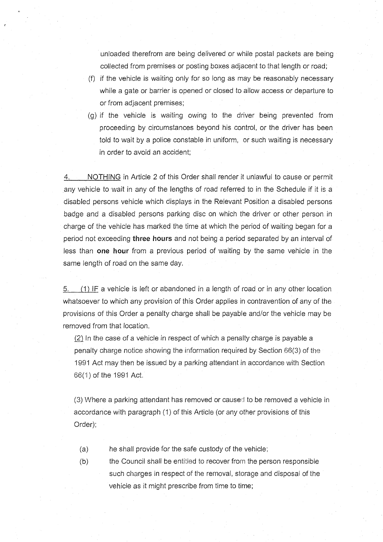unloaded therefrom are being delivered or while postal packets are being collected from premises or posting boxes adjacent to that length or road;

- (f) if the vehicle is waiting only for so long as may be reasonably necessary while a gate or barrier is opened or closed to allow access or departure to or from adjacent premises;
- (g) if the vehicle is waiting owing to the driver being prevented from proceeding by circumstances beyond his control, or the driver has been told to wait by a police constable in uniform, or such waiting is necessary in order to avoid an accident;

4. NOTHING in Article 2 of this Order shall render it unlawful to cause or permit any vehicle to wait in any of the lengths of road referred to in the Schedule if it is a disabled persons vehicle which displays in the Relevant Position a disabled persons badge and a disabled persons parking disc on which the driver or other person in charge of the vehicle has marked the time at which the period of waiting began for a period not exceeding **three hours** and not being a period separated by an interval of less than **one hour** from a previous period of waiting by the same vehicle in the same length of road on the same day.

5. (1) IF a vehicle is left or abandoned in a length of road or in any other location whatsoever to which any provision of this Order applies in contravention of any of the provisions of this Order a penalty charge shall be payable and/or the vehicle may be removed from that location.

(2) In the case of a vehicle in respect of which a penalty charge is payable a penalty charge notice showing the information required by Section 66(3) of the 1991 Act may then be issued by a parking attendant in accordance with Section 66(1) of the 1991 Act.

(3) Where a parking attendant has removed or caused to be removed a vehicle in accordance with paragraph (1) of this Article (or any other provisions of this Order);

- (a) he shall provide for the safe custody of the vehicle;
- (b) the Council shall be entitled to recover from the person responsible such charges in respect of the removal, storage and disposal of the vehicle as it might prescribe from time to time;